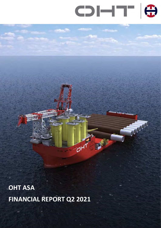

**COLOR** 

 $\sqrt{2}$ 

Ò

OHT ASA FINANCIAL REPORT Q2 2021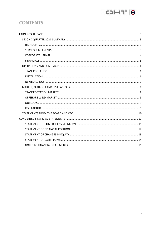

# **CONTENTS**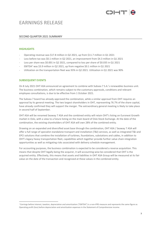

## EARNINGS RELEASE

## SECOND QUARTER 2021 SUMMARY

## **HIGHLIGHTS**

- Operating revenue was \$17.8 million in Q2 2021, up from \$11.7 million in Q1 2021
- Loss before tax was \$0.1 million in Q2 2021, an improvement from \$4.3 million in Q1 2021
- Loss per share was \$0.001 in Q2 2021, compared to loss per share of \$0.035 in Q1 2021
- EBITDA<sup>1</sup> was \$3.9 million in Q2 2021, up from negative \$0.1 million in Q1 2021
- Utilization on the transportation fleet was 93% in Q2 2021. Utilization in Q1 2021 was 90%

## SUBSEQUENT EVENTS

On 8 July 2021 OHT ASA announced an agreement to combine with Subsea 7 S.A.'s renewables business unit. The business combination, which remains subject to the customary approvals, conditions and relevant employee consultations, is due to be effective from 1 October 2021.

The Subsea 7 board has already approved the combination, while a similar approval from OHT requires an approval by its general meeting. The two largest shareholders in OHT, representing 76.7% of the share capital, have already confirmed they will support the merger. The extraordinary general meeting is likely to take place in second half of September.

OHT ASA will be renamed Seaway 7 ASA and the combined entity will retain OHT's listing on Euronext Growth market in Oslo, with a view to a future listing on the main board of Oslo Stock Exchange. At the date of the combination, the existing shareholders of OHT ASA will own 28% of the combined entity.

Drawing on an expanded and diversified asset base through the combination, OHT ASA / Seaway 7 ASA will offer a full range of specialist standalone transport and installation (T&I) services, as well as integrated T&I and EPCI solutions that combine the installation of turbines, foundations, substations and cables, in addition to OHT's legacy heavy transportation fleet, capabilities which together provide further value chain integration opportunities as well as mitigating risks associated with delivery schedule management.

For accounting purposes, the business combination is expected to be considered a reverse acquisition. This means that despite OHT legally being the acquirer, it will accounting-wise be considered that OHT is the acquired entity. Effectively, this means that assets and liabilities in OHT ASA Group will be measured at its fair value on the date of the transaction and recognized at these values in the combined entity.

<sup>1</sup> Earnings before interest, taxation, depreciation and amortization ("EBITDA") is a non-IFRS measure and represents the same figure as Operating profit (loss) before depreciation and amortisation expenses in the Statement of Comprehensive income.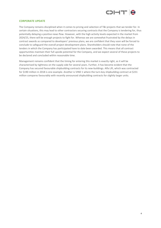

## CORPORATE UPDATE

The Company remains disciplined when it comes to pricing and selection of T&I projects that we tender for. In certain situations, this may lead to other contractors securing contracts that the Company is tendering for, thus potentially delaying a positive news flow. However, with the high activity levels expected in the market from 2024/25, there will be enough projects to fight for. Whereas we are somewhat frustrated by the delays in contract awards as compared to developers' previous plans, we are confident that they soon will be forced to conclude to safeguard the overall project development plans. Shareholders should note that none of the tenders in which the Company has participated have to date been awarded. This means that all contract opportunities maintain their full upside potential for the Company, and we expect several of these projects to be declared and concluded within reasonable time.

Management remains confident that the timing for entering this market is exactly right, as it will be characterised by tightness on the supply side for several years. Further, it has become evident that the Company has secured favourable shipbuilding contracts for its new-buildings. Alfa Lift, which was contracted for \$190 million in 2018 is one example. Another is VIND 1 where the turn-key shipbuilding contract at \$231 million compares favourably with recently announced shipbuilding contracts for slightly larger units.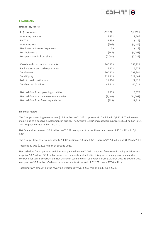

## **FINANCIALS**

Financial key figures

| in \$ thousands                            | Q2 2021 | Q1 2021   |
|--------------------------------------------|---------|-----------|
| Operating revenue                          | 17,752  | 11,666    |
| <b>EBITDA</b>                              | 3,859   | (116)     |
| Operating loss                             | (206)   | (4, 144)  |
| Net Financial Income (expenses)            | 59      | (119)     |
| Loss before tax                            | (147)   | (4, 263)  |
| Loss per share, in $\frac{1}{2}$ per share | (0.001) | (0.035)   |
|                                            |         |           |
| Vessels and construction contracts         | 260,123 | 255,939   |
| Bank deposits and cash equivalents         | 16,978  | 16,276    |
| <b>Total Assets</b>                        | 300,108 | 297,391   |
| <b>Total Equity</b>                        | 229,318 | 229,464   |
| Debt to credit institutions                | 21,474  | 21,422    |
| Total current liabilities                  | 47,118  | 44,012    |
|                                            |         |           |
| Net cashflow from operating activities     | 9,338   | 3,877     |
| Net cashflow used in investment activities | (8,403) | (24, 201) |
| Net cashflow from financing activities     | (233)   | 21,813    |

## Financial review

The Group's operating revenue was \$17.8 million in Q2 2021, up from \$11.7 million in Q1 2021. The increase is mainly due to a positive development in pricing. The Group's EBITDA increased from negative \$0.1 million in Q1 2021 to positive \$3.9 million in Q2 2021.

Net financial income was \$0.1 million in Q2 2021 compared to a net financial expense of \$0.1 million in Q1 2021.

The Group's total assets amounted to \$300.1 million at 30 June 2021, up from \$297.4 million at 31 March 2021.

Total equity was \$229.3 million at 30 June 2021.

Net cash flow from operating activities was \$9.3 million in Q2 2021. Net cash flow from financing activities was negative \$0.2 million. \$8.4 million were used in investment activities this quarter, mainly payments under contracts for vessel construction. Net change in cash and cash equivalents from 31 March 2021 to 30 June 2021 was positive \$0.7 million. Cash and cash equivalents at the end of Q2 2021 were \$17.0 million.

Total undrawn amount on the revolving credit facility was \$28.0 million on 30 June 2021.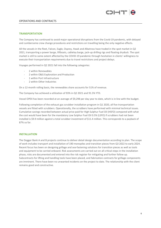## OPERATIONS AND CONTRACTS



## **TRANSPORTATION**

The Company has continued to avoid major operational disruptions from the Covid-19 pandemic, with delayed and cumbersome crew change procedures and restrictions on travelling being the only negative effects.

All the vessels in the fleet, Falcon, Eagle, Osprey, Hawk and Albatross have traded in the spot market in Q2 2021, transporting a power barge, liftboats, cablelay barge, jack-up drilling rigs and floating drydock. The spot market is still to some extent affected by the COVID-19 pandemic through hesitation in clients' willingness to execute their transportation requirements due to travel restrictions and project delays.

Voyages performed in Q2 2021 fall into the following categories:

- 2 within Renewables
- 2 within O&G Exploration and Production
- 1 within Port Infrastructure
- 2 within Other Industries

On a 12-month rolling basis, the renewables share accounts for 51% of revenue.

The Company has achieved a utilization of 93% in Q2 2021 and 91.5% YTD.

Vessel OPEX has been recorded at an average of \$9,298 per day year to date, which is in line with the budget.

Following completion of the exhaust gas scrubber installation program in Q1 2020, all five transportation vessels are fitted with scrubbers. Operationally, the scrubbers have performed with minimal technical issues. Cumulative savings recorded between actual price paid for High Sulphur Fuel Oil (HSFO) compared with what the cost would have been for the mandatory Low Sulphur Fuel Oil 0.5% (LSFO) if scrubbers had not been installed is \$9.9 million against a total scrubber investment of \$11.4 million. This corresponds to a payback of 87% so far.

## INSTALLATION

The Dogger Bank A and B projects continue to deliver detail design documentation according to plan. The scope of work includes transport and installation of 190 monopiles and transition pieces from Q3 2022 to early 2024. Recent focus has been on designing grillage and sea-fastening solutions for transition pieces as well as tools and equipment to be carried onboard. Risk assessments are carried out on all critical steps in the installation phase, risks are documented and entered into the risk register for mitigating and further follow up. Subcontracts for lifting and handling tools have been placed, and fabrication contracts for grillage components are imminent. There have been no unwanted incidents on the project to date. The relationship with the client remains good and constructive.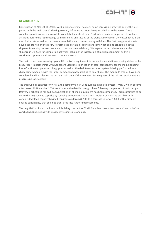

## NEWBUILDINGS

Construction of Alfa Lift at CMHI's yard in Jiangsu, China, has seen some very visible progress during the last period with the main crane's slewing column, A-frame and boom being installed onto the vessel. These complex operations were successfully completed in a short time. Next follows an intense period of hook-up activities before the rope reeving, commissioning and testing of the crane. Elsewhere in the vessel, focus is on electrical works as well as mechanical completion and commissioning activities. The first two generator sets have been started and test-run. Nevertheless, certain disciplines are somewhat behind schedule, but the shipyard is working on a recovery plan to ensure timely delivery. We expect the vessel to remain at the shipyard in Q1 2022 for completion activities including the installation of mission equipment as this is considered optimum with respect to time and costs.

The main components making up Alfa Lift's mission equipment for monopile installation are being delivered by MacGregor, in partnership with Kongsberg Maritime. Fabrication of steel components for the main upending frame/motion compensated pile gripper as well as the deck transportation system is being performed to a challenging schedule, with the larger components now starting to take shape. The monopile cradles have been completed and installed on the vessel's main deck. Other elements forming part of the mission equipment are progressing satisfactorily.

The shipbuilding contract for VIND 1, the company's first wind turbine installation vessel (WTIV), which became effective on 30 November 2020, continues in the detailed design phase following completion of basic design. Delivery is scheduled for mid-2023. Selection of all main equipment has been completed. Focus continues to be on maximizing payload capacity by reducing component and material weights as much as possible, with variable deck load capacity having been improved from 8,750t to a forecast so far of 9,800t with a sizeable unused contingency that could be translated into further improvements.

The negotiations for a conditional shipbuilding contract for VIND 2 is subject to contract commitments before concluding. Discussions with prospective clients are ongoing.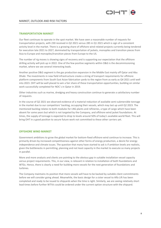

## TRANSPORTATION MARKET

Our fleet continues to operate in the spot market. We have seen a reasonable number of requests for transportation projects, with 230 received in Q2 2021 versus 285 in Q1 2021 which is sign of a consistent activity level in the market. There is a growing share of offshore wind related projects currently being tendered for execution late 2021 to 2027, dominated by transportation of jackets, monopiles and transition pieces from Asia to Europe and monopiles/transition pieces from Europe to the US.

The number of rig moves is showing signs of recovery and is supporting our expectation that the offshore drilling activity will pick up in 2022. One of the few positive segments within O&G is the decommissioning market, where we see several interesting leads.

Another positive O&G segment is the gas production expansion in the Middle East mainly off Qatar and Abu Dhabi. The investments in new field infrastructure create a string of transport requirements for offshore platform components from South East Asian fabrication yards to the region from as early as Q4 2021 until well into 2023. OHT will be well placed to win a fair share of these transportation opportunities, building on similar work successfully completed for NOC`s in Qatar in 2019.

Other industries such as marine, dredging and heavy construction continue to generate a satisfactory number of requests.

In the course of Q2 2021 we observed evidence of a material reduction of available semi-submersible tonnage in the market due to our competitors' backlog, occupying their vessels, which may last up until Q2 2023. The mentioned backlog relates to both modules for LNG plants and refineries, a type of cargo which have been absent for some years but which is not targeted by the Company, and offshore wind jacket foundations. At times, the supply of tonnage is expected to drop to levels around 50% of today's available world fleet. This will bring OHT in a good position to secure future work not committed to these other carriers yet.

## OFFSHORE WIND MARKET

Government ambitions to grow the global market for bottom-fixed offshore wind continue to increase. This is primarily driven by increased competitiveness against other forms of energy production, a desire for energy independence and climate issues. The question that many have started to ask is if ambition levels are realistic, given the bottlenecks in permitting, planning and not least capacity in the market to execute so many projects in parallel.

More and more analysts and clients are pointing to the obvious gap in suitable installation vessel capacity versus project requirements. This, in our view, is relevant in relation to installation of both foundations and WTGs. Hence, there is clearly a need for building more vessels for the next generation of foundations and turbines.

The Company maintains its position that more vessels will have to be backed by suitable client commitments before we will consider going ahead. Meanwhile, the basic design for a sister vessel to Alfa Lift has been completed and ready to be issued to shipyards when the time is right. Similarly, we are seeing relatively short lead times before further WTIVs could be ordered under the current option structure with the shipyard.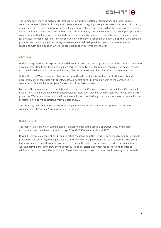

The Company's tendering activities for transportation and installation of foundations and turbines have continued at very high levels in the period. Several tenders are going through the second and even third round, others have moved into the clarifications and negotiations phase. No contracts that the Company have bid for during the last year have been awarded thus far. This is primarily caused by delays in the developers' previously communicated timelines. We continue to believe that a healthy number of contracts need to be placed shortly for projects to reach other milestones in conjunction with FID or auction participation. In spite of the above, all projects that the Company is tendering for have maintained their previously communicated execution schedules, with one exception where the project has been deferred by one year.

## **OUTLOOK**

Within Transportation, we expect continued decreasing pressure on Lump Sum prices in the spot market due to a gradual transition from short- and medium-term oversupply to undersupply of capacity. The near-term spot market will be dominated by Marine & Naval, O&G Decommissioning & Exploration and other industries.

Within Offshore Wind, we expect that the next months will be characterized by clarification rounds and negotiation of T&I contracts with clients, followed by soft or hard contract awards to the Company or its competitors. This will be for projects for execution from 2024 onwards.

Following the announcement of our intention to combine the Company's business with Subsea 7's renewables business unit, the parties have commenced detailed integration planning within areas not affected by anti-trust processes. We have positive outcome from the employee consultation process and remain on schedule for the combination to be made effective from 1 October 2021.

The Company plans to call for an extraordinary general meeting in September to approve the business combination with Subsea 7's renewables business unit.

## RISK FACTORS

The main risk factors which could materially adversely impact the Group's operations and/or financial performance and position are noted on page 12 of OHT ASA's Annual Report 2020.

During the year, management has been mitigating the impacts of the Covid-19 pandemic by monitoring health procedures and adhering to the guidance of the World Health Organization and local authorities. The Group has implemented revised working procedures to reduce the risks associated with Covid-19, including remote working, travel bans, strict crew change procedures, social distancing wherever possible and the use of additional personal protective equipment. There have been no known outbreaks onboard any of our vessels.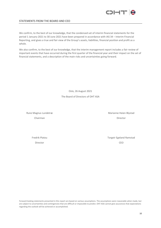

## STATEMENTS FROM THE BOARD AND CEO

We confirm, to the best of our knowledge, that the condensed set of interim financial statements for the period 1 January 2021 to 30 June 2021 have been prepared in accordance with IAS 34 – Interim Financial Reporting, and gives a true and fair view of the Group's assets, liabilities, financial position and profit as a whole.

We also confirm, to the best of our knowledge, that the interim management report includes a fair review of important events that have occurred during the first quarter of the financial year and their impact on the set of financial statements, and a description of the main risks and uncertainties going forward.

> Oslo, 26 August 2021 The Board of Directors of OHT ASA

Rune Magnus Lundetræ Marianne Heien Blystad

Chairman Director

Fredrik Platou **Torgeir Egeland Ramstad** Director CEO

Forward-looking statements presented in this report are based on various assumptions. The assumptions were reasonable when made, but are subject to uncertainties and contingencies that are difficult or impossible to predict. OHT ASA cannot give assurances that expectations regarding the outlook will be achieved or accomplished.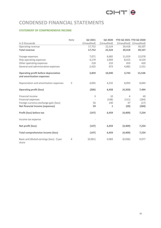

# CONDENSED FINANCIAL STATEMENTS

## STATEMENT OF COMPREHENSIVE INCOME

|                                                                          | Note | Q2 2021     | Q2 2020     |          | YTD Q2 2021 YTD Q2 2020 |
|--------------------------------------------------------------------------|------|-------------|-------------|----------|-------------------------|
| in \$ thousands                                                          |      | (Unaudited) | (Unaudited) |          | (Unaudited) (Unaudited) |
| Operating revenue                                                        |      | 17,752      | 22,524      | 29,418   | 39,107                  |
| <b>Total revenue</b>                                                     |      | 17,752      | 22,524      | 29,418   | 39,107                  |
| Voyage expenses                                                          |      | 7,071       | 6,682       | 11,919   | 12,078                  |
| Ship operating expenses                                                  |      | 4,179       | 3,969       | 8,415    | 8,520                   |
| Other operating expenses                                                 |      | 218         | 210         | 459      | 420                     |
| General and administrative expenses                                      |      | 2,425       | 973         | 4,882    | 2,551                   |
| <b>Operating profit before depreciation</b><br>and amortization expenses |      | 3,859       | 10,690      | 3,743    | 15,538                  |
| Depreciation and amortization expenses                                   | 5    | 4,065       | 4,232       | 8,093    | 8,044                   |
| <b>Operating profit (loss)</b>                                           |      | (206)       | 6,458       | (4, 350) | 7,494                   |
| Financial income                                                         |      | 3           | 10          | 4        | 40                      |
| Financial expenses                                                       |      |             | (148)       | (111)    | (284)                   |
| Foreign currency exchange gain (loss)                                    |      | 56          | 140         | 47       | (17)                    |
| <b>Net financial income (expenses)</b>                                   |      | 59          | 1           | (59)     | (260)                   |
| Profit (loss) before tax                                                 |      | (147)       | 6,459       | (4,409)  | 7,234                   |
| Income tax expense                                                       |      |             |             |          |                         |
| Net profit (loss)                                                        |      | (147)       | 6,459       | (4,409)  | 7,234                   |
| <b>Total comprehensive income (loss)</b>                                 |      | (147)       | 6,459       | (4,409)  | 7,234                   |
| Basic and diluted earnings (loss) - \$ per<br>share                      | 4    | (0.001)     | 0.069       | (0.036)  | 0.077                   |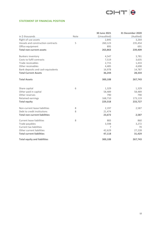

## STATEMENT OF FINANCIAL POSITION

|                                      |      | 30 June 2021 | <b>31 December 2020</b> |
|--------------------------------------|------|--------------|-------------------------|
| in \$ thousands                      | Note | (Unaudited)  | (Audited)               |
| Right-of-use assets                  |      | 2,845        | 3,264                   |
| Vessels and construction contracts   | 5    | 260,123      | 235,454                 |
| Office equipment                     |      | 895          | 691                     |
| <b>Total non-current assets</b>      |      | 263,863      | 239,409                 |
| <b>Bunkers inventory</b>             |      | 4,547        | 3,781                   |
| Costs to fulfil contracts            |      | 7,519        | 3,635                   |
| Trade receivables                    |      | 2,715        | 1,433                   |
| Other receivables                    |      | 4,485        | 4,698                   |
| Bank deposits and cash equivalents   |      | 16,978       | 14,787                  |
| <b>Total Current Assets</b>          |      | 36,244       | 28,334                  |
| <b>Total Assets</b>                  |      | 300,108      | 267,743                 |
| Share capital                        | 6    | 1,329        | 1,329                   |
| Other paid in capital                |      | 58,489       | 58,489                  |
| Other reserves                       |      | 790          | 790                     |
| Retained earnings                    |      | 168,710      | 173,119                 |
| <b>Total equity</b>                  |      | 229,318      | 233,727                 |
| Non-current lease liabilities        | 8    | 2,197        | 2,587                   |
| Debt to credit institutions          | 8    | 21,474       |                         |
| <b>Total non-current liabilities</b> |      | 23,672       | 2,587                   |
| <b>Current lease liabilities</b>     | 8    | 883          | 860                     |
| Trade payables                       |      | 3,598        | 3,272                   |
| <b>Current tax liabilities</b>       |      | 7            | 70                      |
| Other current liabilities            |      | 42,629       | 27,228                  |
| <b>Total current liabilities</b>     |      | 47,118       | 31,429                  |
| <b>Total equity and liabilities</b>  |      | 300,108      | 267,743                 |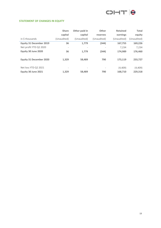

## STATEMENT OF CHANGES IN EQUITY

|                                | <b>Share</b>             | Other paid in            | Other                    | <b>Retained</b> | <b>Total</b> |
|--------------------------------|--------------------------|--------------------------|--------------------------|-----------------|--------------|
|                                | capital                  | capital                  | reserves                 | earnings        | equity       |
| in \$ thousands                | (Unaudited)              | (Unaudited)              | (Unaudited)              | (Unaudited)     | (Unaudited)  |
| <b>Equity 31 December 2019</b> | 36                       | 1,779                    | (344)                    | 167,755         | 169,226      |
| Net profit YTD Q2 2020         | $\overline{\phantom{a}}$ |                          |                          | 7,234           | 7,234        |
| Equity 30 June 2020            | 36                       | 1.779                    | (344)                    | 174,989         | 176,460      |
| <b>Equity 31 December 2020</b> | 1,329                    | 58,489                   | 790                      | 173,119         | 233,727      |
| Net loss YTD Q2 2021           | $\overline{\phantom{a}}$ | $\overline{\phantom{a}}$ | $\overline{\phantom{0}}$ | (4,409)         | (4,409)      |
| Equity 30 June 2021            | 1.329                    | 58.489                   | 790                      | 168,710         | 229,318      |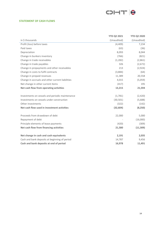

## STATEMENT OF CASH FLOWS

|                                                  | <b>YTD Q2 2021</b> | <b>YTD Q2 2020</b> |
|--------------------------------------------------|--------------------|--------------------|
| in \$ thousands                                  | (Unaudited)        | (Unaudited)        |
| Profit (loss) before taxes                       | (4,409)            | 7,234              |
| Paid taxes                                       | (63)               | (36)               |
| Depreciation                                     | 8,093              | 8,044              |
| Change in bunkers inventory                      | (766)              | (821)              |
| Change in trade receivables                      | (1, 282)           | (2,861)            |
| Change in trade payables                         | 326                | (2,672)            |
| Change in prepayments and other receivables      | 213                | (2,924)            |
| Change in costs to fulfil contracts              | (3,884)            | (64)               |
| Change in prepaid revenues                       | 11,389             | 20,558             |
| Change in accruals and other current liabilities | 4,015              | (5,059)            |
| Net change in other current items                | (417)              | 195                |
| Net cash flow from operating activities          | 13,215             | 21,594             |
|                                                  |                    |                    |
| Investments on vessels and periodic maintenance  | (1,781)            | (2,420)            |
| Investments on vessels under construction        | (30, 501)          | (5,688)            |
| Other investments                                | (322)              | (142)              |
| Net cash flow used in investment activities      | (32, 604)          | (8, 250)           |
| Proceeds from drawdown of debt                   | 22,000             | 5,000              |
| Repayment of debt                                |                    | (16,000)           |
| Principle elements of lease payments             | (420)              | (309)              |
| Net cash flow from financing activities          | 21,580             | (11, 309)          |
|                                                  |                    |                    |
| Net change in cash and cash equivalents          | 2,191              | 2,035              |
| Cash and bank deposits at beginning of period    | 14,787             | 9,456              |
| Cash and bank deposits at end of period          | 16,978             | 11,491             |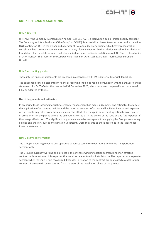

## NOTES TO FINANCIAL STATEMENTS

## Note 1 General

OHT ASA ("the Company"), organization number 924 695 792, is a Norwegian public limited liability company. The Company and its subsidiaries ("the Group" or "OHT"), is a specialized heavy transportation and installation (T&I) contractor. OHT is the owner and operator of five open deck semi-submersible heavy transportation vessels and has currently under construction a heavy lift semi-submersible installation vessel for installation of foundations for the offshore wind market and a jack-up wind turbine installation vessel. OHT has its head office in Oslo, Norway. The shares of the Company are traded on Oslo Stock Exchanges' marketplace Euronext Growth.

## Note 2 Accounting policies

These interim financial statements are prepared in accordance with IAS 34 Interim Financial Reporting.

The condensed consolidated interim financial reporting should be read in conjunction with the annual financial statements for OHT ASA for the year ended 31 December 2020, which have been prepared in accordance with IFRS, as adopted by the EU.

## Use of judgements and estimates

In preparing these interim financial statements, management has made judgements and estimates that affect the application of accounting policies and the reported amounts of assets and liabilities, income and expense. Actual results may differ from these estimates. The effect of a change in an accounting estimate is recognized in profit or loss in the period where the estimate is revised or in the period of the revision and future periods if the change affects both. The significant judgements made by management in applying the Group's accounting policies and the key sources of estimation uncertainty were the same as those described in the last annual financial statements.

## Note 3 Segment information

The Group's operating revenue and operating expenses come from operations within the transportation segment only.

The Group is currently working on a project in the offshore wind installation segment under an effective contract with a customer. It is expected that services related to wind installation will be reported as a separate segment when revenue is first recognized. Expenses in relation to the contract are capitalized as costs to fulfil contract. Revenue will be recognized from the start of the installation phase of the project.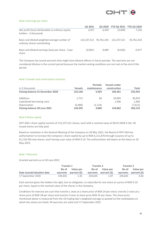

#### Note 4 Earnings per share

|                                                                             | Q2 2021                | Q <sub>2</sub> 2020 | <b>YTD Q2 2021 YTD Q2 2020</b> |            |
|-----------------------------------------------------------------------------|------------------------|---------------------|--------------------------------|------------|
| Net profit (loss) attributable to ordinary equity<br>holders - \$ thousands | (147)                  | 6.459               | (4.409)                        | 7.234      |
| Basic and diluted weighted average number of<br>ordinary shares outstanding | 122,237,521 93,761,334 |                     | 122.237.521                    | 93,761,334 |
| Basic and diluted earnings (loss) per share - \$ per<br>share               | (0.001)                | 0.069               | (0.036)                        | 0.077      |

The Company has issued warrants that might have dilutive effects in future periods. The warrants are not considered dilutive in the current period because the market vesting conditions are not met at the end of the period.

## Note 5 Vessels and construction contracts

|                                         |                              | <b>Periodic</b> | <b>Vessels under</b>     |         |  |
|-----------------------------------------|------------------------------|-----------------|--------------------------|---------|--|
| in \$ thousands                         | <b>Vessels</b>               | maintenance     | construction             | Total   |  |
| <b>Closing balance 31 December 2020</b> | 125.168                      | 5.924           | 104.361                  | 235.454 |  |
| Additions                               | 1,713                        | 68              | 29.095                   | 30,876  |  |
| Capitalized borrowing costs             | $\qquad \qquad \blacksquare$ |                 | 1.406                    | 1,406   |  |
| Depreciation                            | (6,488)                      | (1, 124)        | $\overline{\phantom{a}}$ | (7,612) |  |
| Closing balance 30 June 2021            | 120,393                      | 4,868           | 134.862                  | 260,123 |  |

## Note 6 Share capital

OHT ASA's share capital consists of 122,237,521 shares, each with a nominal value of \$0.01 (NOK 0.10). All issued shares are fully paid.

Based on resolution in the General Meeting of the Company on 20 May 2021, the Board of OHT ASA has authorization to increase the Company's share capital by up to NOK 6,111,876 through issuance of up to 61,118,760 new shares, each having a par value of NOK 0.10. The authorization will expire at the latest on 20 May 2023.

## Note 7 Warrants

Granted warrants as at 30 June 2021:

|                            | Tranche 1 |                       | Tranche 2 |                       | Tranche 3 |                       |
|----------------------------|-----------|-----------------------|-----------|-----------------------|-----------|-----------------------|
|                            |           | No of Value per       | No of     | Value per             | No of     | Value per             |
| Date issued/valuation date |           | warrants warrant (\$) |           | warrants warrant (\$) |           | warrants warrant (\$) |
| 17 September 2020          | 339.645   | 1.45                  | 339.645   | 1.07                  | 339.645   | 0.82                  |

Each warrant gives the holders the right, but no obligation, to subscribe for one share at a price of NOK 0.10 per share, equal to the nominal value of the shares in the Company.

Conditions for exercise are such that tranche 1 vests at a share price of NOK 24 per share, tranche 2 vests at a share price of NOK 28 per share and tranche 3 vests at share price NOK 32 per share. The share price mentioned above is measured from the 10 trading day's weighted average as quoted on the marketplace on which the shares are listed. All warrants are valid until 17 September 2025.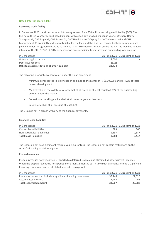

## Note 8 Interest-bearing debt

## Revolving credit facility

In December 2020 the Group entered into an agreement for a \$50 million revolving credit facility (RCF). The RCF has a three-year term, limit of \$50 million, with a step down to \$30 million in year 3. Offshore Heavy Transport AS, OHT Eagle AS, OHT Falcon AS, OHT Hawk AS, OHT Osprey AS, OHT Albatross AS and OHT Management AS are jointly and severally liable for the loan and the 5 vessels owned by these companies are pledged under the agreement. As at 30 June 2021 \$22.0 million was drawn on the facility. The loan has floating interest of LIBOR + 3.75% - 4.50%, depending on time remaining to maturity and outstanding loan amount.

| in \$ thousands                               |        | 30 June 2021 31 December 2020 |
|-----------------------------------------------|--------|-------------------------------|
| Outstanding loan amount                       | 22,000 |                               |
| Debt issuance cost                            | (526)  |                               |
| Debt to credit institutions at amortized cost | 21.474 |                               |

The following financial covenants exist under the loan agreement:

- Minimum consolidated liquidity shall at all times be the higher of (i) \$5,000,000 and (ii) 7.5% of total interest-bearing debt.
- Market value of the collateral vessels shall at all times be at least equal to 200% of the outstanding amount under the facility
- Consolidated working capital shall at all times be greater than zero
- Equity ratio shall at all times be at least 40%

The Group is not in breach with any of the financial covenants.

## Financial lease liabilities

| in \$ thousands                |       | 30 June 2021 31 December 2020 |
|--------------------------------|-------|-------------------------------|
| Current lease liabilities      | 883   | 860                           |
| Non-current lease liabilities  | 2.197 | 2.587                         |
| <b>Total lease liabilities</b> | 3.080 | 3.447                         |

The leases do not have significant residual value guarantees. The leases do not contain restrictions on the Group's financing or dividend policy.

## Prepaid revenues

Prepaid revenues not yet earned is reported as deferred revenue and classified as other current liabilities. When the prepaid revenue is for a period more than 12 months out in time such payments include a significant financing component and a calculated interest is recognized.

| in \$ thousands                                                 |        | 30 June 2021 31 December 2020 |
|-----------------------------------------------------------------|--------|-------------------------------|
| Prepaid revenues that include a significant financing component | 33.145 | 22.620                        |
| Accumulated interest                                            | 1.462  | 768                           |
| Total recognized amount                                         | 34.607 | 23,388                        |